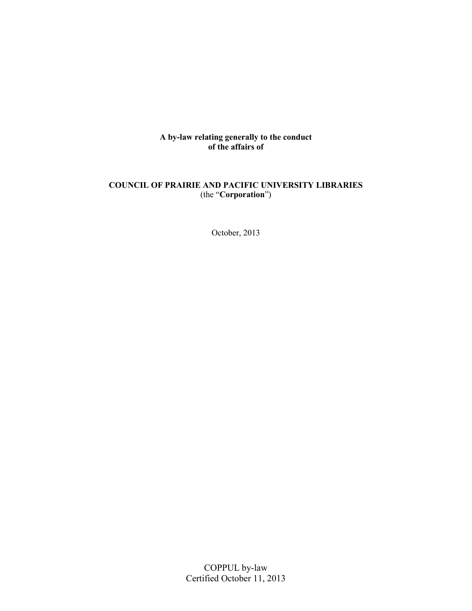**A by-law relating generally to the conduct of the affairs of**

## **COUNCIL OF PRAIRIE AND PACIFIC UNIVERSITY LIBRARIES** (the "**Corporation**")

October, 2013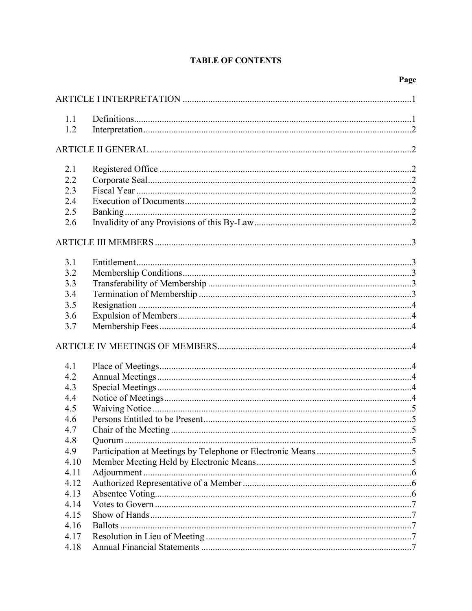# **TABLE OF CONTENTS**

| 1.1  |  |  |  |
|------|--|--|--|
| 1.2  |  |  |  |
|      |  |  |  |
|      |  |  |  |
| 2.1  |  |  |  |
| 2.2  |  |  |  |
| 2.3  |  |  |  |
| 2.4  |  |  |  |
| 2.5  |  |  |  |
| 2.6  |  |  |  |
|      |  |  |  |
| 3.1  |  |  |  |
| 3.2  |  |  |  |
| 3.3  |  |  |  |
| 3.4  |  |  |  |
| 3.5  |  |  |  |
| 3.6  |  |  |  |
| 3.7  |  |  |  |
|      |  |  |  |
|      |  |  |  |
| 4.1  |  |  |  |
| 4.2  |  |  |  |
| 4.3  |  |  |  |
| 4.4  |  |  |  |
| 4.5  |  |  |  |
| 4.6  |  |  |  |
| 4.7  |  |  |  |
| 4.8  |  |  |  |
| 4.9  |  |  |  |
| 4.10 |  |  |  |
| 4.11 |  |  |  |
| 4.12 |  |  |  |
| 4.13 |  |  |  |
| 4.14 |  |  |  |
| 4.15 |  |  |  |
| 4.16 |  |  |  |
| 4.17 |  |  |  |
| 4.18 |  |  |  |
|      |  |  |  |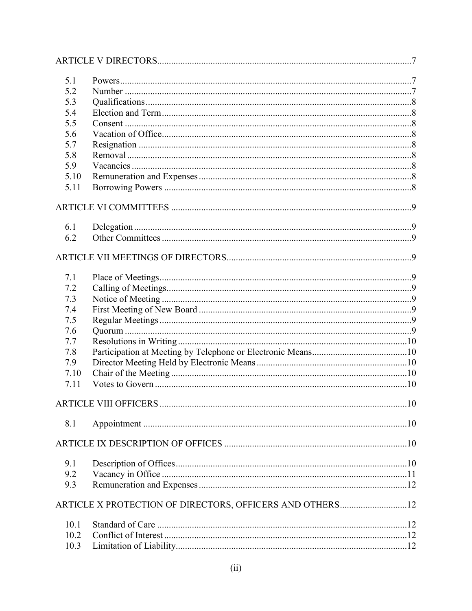| 5.1  |                                                          |  |
|------|----------------------------------------------------------|--|
| 5.2  |                                                          |  |
| 5.3  |                                                          |  |
| 5.4  |                                                          |  |
| 5.5  |                                                          |  |
| 5.6  |                                                          |  |
| 5.7  |                                                          |  |
| 5.8  |                                                          |  |
| 5.9  |                                                          |  |
| 5.10 |                                                          |  |
| 5.11 |                                                          |  |
|      |                                                          |  |
| 6.1  |                                                          |  |
| 6.2  |                                                          |  |
|      |                                                          |  |
| 7.1  |                                                          |  |
| 7.2  |                                                          |  |
| 7.3  |                                                          |  |
| 7.4  |                                                          |  |
| 7.5  |                                                          |  |
| 7.6  |                                                          |  |
| 7.7  |                                                          |  |
| 7.8  |                                                          |  |
| 7.9  |                                                          |  |
| 7.10 |                                                          |  |
| 7.11 |                                                          |  |
|      |                                                          |  |
| 8.1  |                                                          |  |
|      |                                                          |  |
| 9.1  |                                                          |  |
| 9.2  |                                                          |  |
| 9.3  |                                                          |  |
|      | ARTICLE X PROTECTION OF DIRECTORS, OFFICERS AND OTHERS12 |  |
| 10.1 |                                                          |  |
| 10.2 |                                                          |  |
| 10.3 |                                                          |  |
|      |                                                          |  |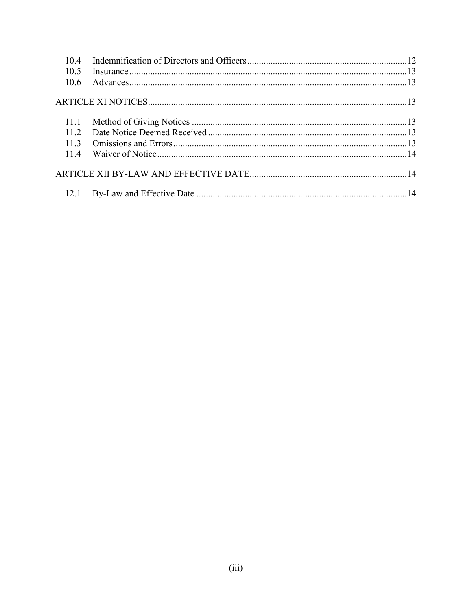| 10.4 |  |
|------|--|
| 10.5 |  |
| 10.6 |  |
|      |  |
| 11.1 |  |
| 112  |  |
| 113  |  |
| 114  |  |
|      |  |
|      |  |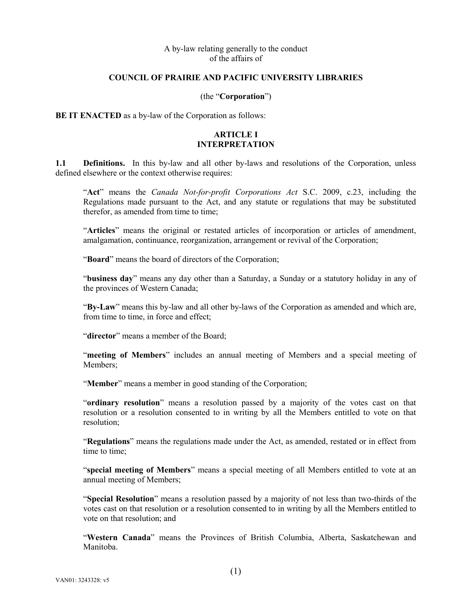#### A by-law relating generally to the conduct of the affairs of

#### **COUNCIL OF PRAIRIE AND PACIFIC UNIVERSITY LIBRARIES**

#### (the "**Corporation**")

**BE IT ENACTED** as a by-law of the Corporation as follows:

#### **ARTICLE I INTERPRETATION**

<span id="page-4-1"></span><span id="page-4-0"></span>**1.1 Definitions.** In this by-law and all other by-laws and resolutions of the Corporation, unless defined elsewhere or the context otherwise requires:

"**Act**" means the *Canada Not-for-profit Corporations Act* S.C. 2009, c.23, including the Regulations made pursuant to the Act, and any statute or regulations that may be substituted therefor, as amended from time to time;

"**Articles**" means the original or restated articles of incorporation or articles of amendment, amalgamation, continuance, reorganization, arrangement or revival of the Corporation;

"**Board**" means the board of directors of the Corporation;

"**business day**" means any day other than a Saturday, a Sunday or a statutory holiday in any of the provinces of Western Canada;

"**By-Law**" means this by-law and all other by-laws of the Corporation as amended and which are, from time to time, in force and effect;

"**director**" means a member of the Board;

"**meeting of Members**" includes an annual meeting of Members and a special meeting of Members;

"**Member**" means a member in good standing of the Corporation;

"**ordinary resolution**" means a resolution passed by a majority of the votes cast on that resolution or a resolution consented to in writing by all the Members entitled to vote on that resolution;

"**Regulations**" means the regulations made under the Act, as amended, restated or in effect from time to time;

"**special meeting of Members**" means a special meeting of all Members entitled to vote at an annual meeting of Members;

"**Special Resolution**" means a resolution passed by a majority of not less than two-thirds of the votes cast on that resolution or a resolution consented to in writing by all the Members entitled to vote on that resolution; and

"**Western Canada**" means the Provinces of British Columbia, Alberta, Saskatchewan and Manitoba.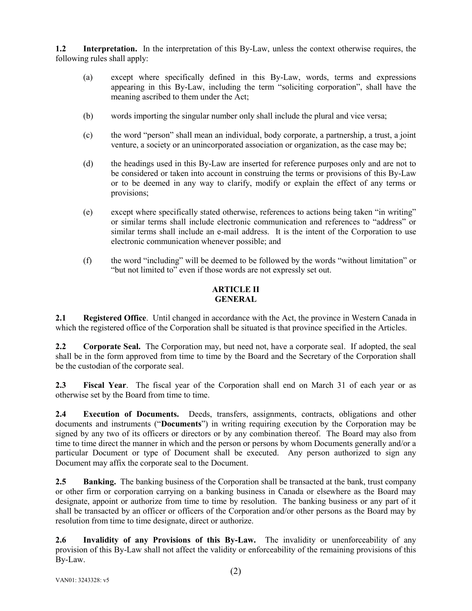<span id="page-5-0"></span>**1.2 Interpretation.** In the interpretation of this By-Law, unless the context otherwise requires, the following rules shall apply:

- (a) except where specifically defined in this By-Law, words, terms and expressions appearing in this By-Law, including the term "soliciting corporation", shall have the meaning ascribed to them under the Act;
- (b) words importing the singular number only shall include the plural and vice versa;
- (c) the word "person" shall mean an individual, body corporate, a partnership, a trust, a joint venture, a society or an unincorporated association or organization, as the case may be;
- (d) the headings used in this By-Law are inserted for reference purposes only and are not to be considered or taken into account in construing the terms or provisions of this By-Law or to be deemed in any way to clarify, modify or explain the effect of any terms or provisions;
- (e) except where specifically stated otherwise, references to actions being taken "in writing" or similar terms shall include electronic communication and references to "address" or similar terms shall include an e-mail address. It is the intent of the Corporation to use electronic communication whenever possible; and
- (f) the word "including" will be deemed to be followed by the words "without limitation" or "but not limited to" even if those words are not expressly set out.

## **ARTICLE II GENERAL**

<span id="page-5-2"></span><span id="page-5-1"></span>**2.1 Registered Office**. Until changed in accordance with the Act, the province in Western Canada in which the registered office of the Corporation shall be situated is that province specified in the Articles.

<span id="page-5-3"></span>**2.2 Corporate Seal.** The Corporation may, but need not, have a corporate seal. If adopted, the seal shall be in the form approved from time to time by the Board and the Secretary of the Corporation shall be the custodian of the corporate seal.

<span id="page-5-4"></span>**2.3 Fiscal Year**. The fiscal year of the Corporation shall end on March 31 of each year or as otherwise set by the Board from time to time.

<span id="page-5-5"></span>**2.4 Execution of Documents.** Deeds, transfers, assignments, contracts, obligations and other documents and instruments ("**Documents**") in writing requiring execution by the Corporation may be signed by any two of its officers or directors or by any combination thereof. The Board may also from time to time direct the manner in which and the person or persons by whom Documents generally and/or a particular Document or type of Document shall be executed. Any person authorized to sign any Document may affix the corporate seal to the Document.

<span id="page-5-6"></span>**2.5 Banking.** The banking business of the Corporation shall be transacted at the bank, trust company or other firm or corporation carrying on a banking business in Canada or elsewhere as the Board may designate, appoint or authorize from time to time by resolution. The banking business or any part of it shall be transacted by an officer or officers of the Corporation and/or other persons as the Board may by resolution from time to time designate, direct or authorize.

<span id="page-5-7"></span>**2.6 Invalidity of any Provisions of this By-Law.** The invalidity or unenforceability of any provision of this By-Law shall not affect the validity or enforceability of the remaining provisions of this By-Law.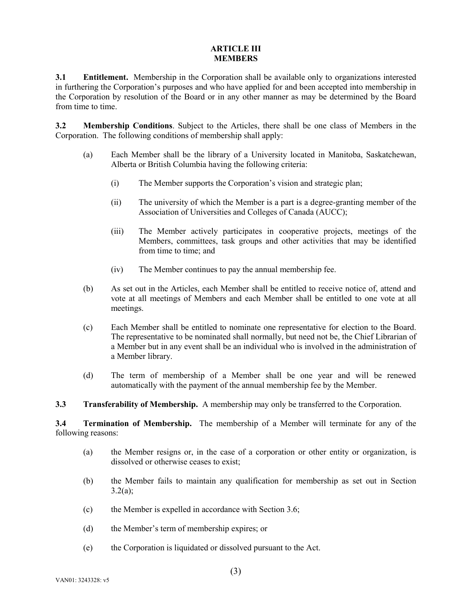#### **ARTICLE III MEMBERS**

<span id="page-6-1"></span><span id="page-6-0"></span>**3.1 Entitlement.** Membership in the Corporation shall be available only to organizations interested in furthering the Corporation's purposes and who have applied for and been accepted into membership in the Corporation by resolution of the Board or in any other manner as may be determined by the Board from time to time.

<span id="page-6-2"></span>**3.2 Membership Conditions**. Subject to the Articles, there shall be one class of Members in the Corporation. The following conditions of membership shall apply:

- (a) Each Member shall be the library of a University located in Manitoba, Saskatchewan, Alberta or British Columbia having the following criteria:
	- (i) The Member supports the Corporation's vision and strategic plan;
	- (ii) The university of which the Member is a part is a degree-granting member of the Association of Universities and Colleges of Canada (AUCC);
	- (iii) The Member actively participates in cooperative projects, meetings of the Members, committees, task groups and other activities that may be identified from time to time; and
	- (iv) The Member continues to pay the annual membership fee.
- (b) As set out in the Articles, each Member shall be entitled to receive notice of, attend and vote at all meetings of Members and each Member shall be entitled to one vote at all meetings.
- (c) Each Member shall be entitled to nominate one representative for election to the Board. The representative to be nominated shall normally, but need not be, the Chief Librarian of a Member but in any event shall be an individual who is involved in the administration of a Member library.
- (d) The term of membership of a Member shall be one year and will be renewed automatically with the payment of the annual membership fee by the Member.

<span id="page-6-3"></span>**3.3 Transferability of Membership.** A membership may only be transferred to the Corporation.

<span id="page-6-4"></span>**3.4 Termination of Membership.** The membership of a Member will terminate for any of the following reasons:

- (a) the Member resigns or, in the case of a corporation or other entity or organization, is dissolved or otherwise ceases to exist;
- (b) the Member fails to maintain any qualification for membership as set out in Section  $3.2(a)$ ;
- (c) the Member is expelled in accordance with Section 3.6;
- (d) the Member's term of membership expires; or
- (e) the Corporation is liquidated or dissolved pursuant to the Act.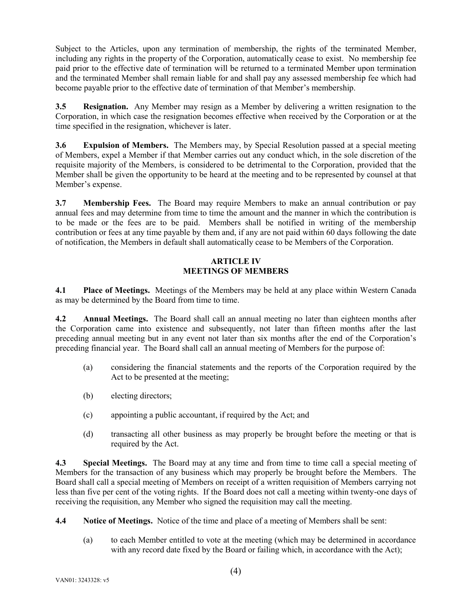Subject to the Articles, upon any termination of membership, the rights of the terminated Member, including any rights in the property of the Corporation, automatically cease to exist. No membership fee paid prior to the effective date of termination will be returned to a terminated Member upon termination and the terminated Member shall remain liable for and shall pay any assessed membership fee which had become payable prior to the effective date of termination of that Member's membership.

<span id="page-7-0"></span>**3.5 Resignation.** Any Member may resign as a Member by delivering a written resignation to the Corporation, in which case the resignation becomes effective when received by the Corporation or at the time specified in the resignation, whichever is later.

<span id="page-7-1"></span>**3.6 Expulsion of Members.** The Members may, by Special Resolution passed at a special meeting of Members, expel a Member if that Member carries out any conduct which, in the sole discretion of the requisite majority of the Members, is considered to be detrimental to the Corporation, provided that the Member shall be given the opportunity to be heard at the meeting and to be represented by counsel at that Member's expense.

<span id="page-7-2"></span>**3.7 Membership Fees.** The Board may require Members to make an annual contribution or pay annual fees and may determine from time to time the amount and the manner in which the contribution is to be made or the fees are to be paid. Members shall be notified in writing of the membership contribution or fees at any time payable by them and, if any are not paid within 60 days following the date of notification, the Members in default shall automatically cease to be Members of the Corporation.

## **ARTICLE IV MEETINGS OF MEMBERS**

<span id="page-7-4"></span><span id="page-7-3"></span>**4.1 Place of Meetings.** Meetings of the Members may be held at any place within Western Canada as may be determined by the Board from time to time.

<span id="page-7-5"></span>**4.2 Annual Meetings.** The Board shall call an annual meeting no later than eighteen months after the Corporation came into existence and subsequently, not later than fifteen months after the last preceding annual meeting but in any event not later than six months after the end of the Corporation's preceding financial year. The Board shall call an annual meeting of Members for the purpose of:

- (a) considering the financial statements and the reports of the Corporation required by the Act to be presented at the meeting;
- (b) electing directors;
- (c) appointing a public accountant, if required by the Act; and
- (d) transacting all other business as may properly be brought before the meeting or that is required by the Act.

<span id="page-7-6"></span>**4.3 Special Meetings.** The Board may at any time and from time to time call a special meeting of Members for the transaction of any business which may properly be brought before the Members. The Board shall call a special meeting of Members on receipt of a written requisition of Members carrying not less than five per cent of the voting rights. If the Board does not call a meeting within twenty-one days of receiving the requisition, any Member who signed the requisition may call the meeting.

- <span id="page-7-7"></span>**4.4 Notice of Meetings.** Notice of the time and place of a meeting of Members shall be sent:
	- (a) to each Member entitled to vote at the meeting (which may be determined in accordance with any record date fixed by the Board or failing which, in accordance with the Act);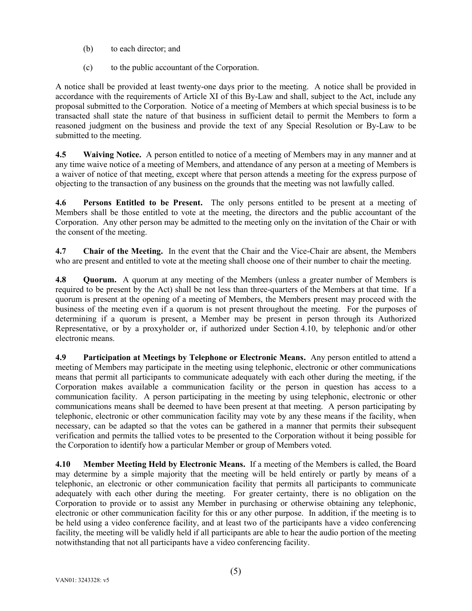- (b) to each director; and
- (c) to the public accountant of the Corporation.

A notice shall be provided at least twenty-one days prior to the meeting. A notice shall be provided in accordance with the requirements of [Article XI](#page-16-2) of this By-Law and shall, subject to the Act, include any proposal submitted to the Corporation. Notice of a meeting of Members at which special business is to be transacted shall state the nature of that business in sufficient detail to permit the Members to form a reasoned judgment on the business and provide the text of any Special Resolution or By-Law to be submitted to the meeting.

<span id="page-8-0"></span>**4.5 Waiving Notice.** A person entitled to notice of a meeting of Members may in any manner and at any time waive notice of a meeting of Members, and attendance of any person at a meeting of Members is a waiver of notice of that meeting, except where that person attends a meeting for the express purpose of objecting to the transaction of any business on the grounds that the meeting was not lawfully called.

<span id="page-8-1"></span>**4.6 Persons Entitled to be Present.** The only persons entitled to be present at a meeting of Members shall be those entitled to vote at the meeting, the directors and the public accountant of the Corporation. Any other person may be admitted to the meeting only on the invitation of the Chair or with the consent of the meeting.

<span id="page-8-2"></span>**4.7 Chair of the Meeting.** In the event that the Chair and the Vice-Chair are absent, the Members who are present and entitled to vote at the meeting shall choose one of their number to chair the meeting.

<span id="page-8-3"></span>**4.8 Quorum.** A quorum at any meeting of the Members (unless a greater number of Members is required to be present by the Act) shall be not less than three-quarters of the Members at that time. If a quorum is present at the opening of a meeting of Members, the Members present may proceed with the business of the meeting even if a quorum is not present throughout the meeting. For the purposes of determining if a quorum is present, a Member may be present in person through its Authorized Representative, or by a proxyholder or, if authorized under Section [4.10,](#page-8-5) by telephonic and/or other electronic means.

<span id="page-8-4"></span>**4.9 Participation at Meetings by Telephone or Electronic Means.** Any person entitled to attend a meeting of Members may participate in the meeting using telephonic, electronic or other communications means that permit all participants to communicate adequately with each other during the meeting, if the Corporation makes available a communication facility or the person in question has access to a communication facility. A person participating in the meeting by using telephonic, electronic or other communications means shall be deemed to have been present at that meeting. A person participating by telephonic, electronic or other communication facility may vote by any these means if the facility, when necessary, can be adapted so that the votes can be gathered in a manner that permits their subsequent verification and permits the tallied votes to be presented to the Corporation without it being possible for the Corporation to identify how a particular Member or group of Members voted.

<span id="page-8-5"></span>**4.10 Member Meeting Held by Electronic Means.** If a meeting of the Members is called, the Board may determine by a simple majority that the meeting will be held entirely or partly by means of a telephonic, an electronic or other communication facility that permits all participants to communicate adequately with each other during the meeting. For greater certainty, there is no obligation on the Corporation to provide or to assist any Member in purchasing or otherwise obtaining any telephonic, electronic or other communication facility for this or any other purpose. In addition, if the meeting is to be held using a video conference facility, and at least two of the participants have a video conferencing facility, the meeting will be validly held if all participants are able to hear the audio portion of the meeting notwithstanding that not all participants have a video conferencing facility.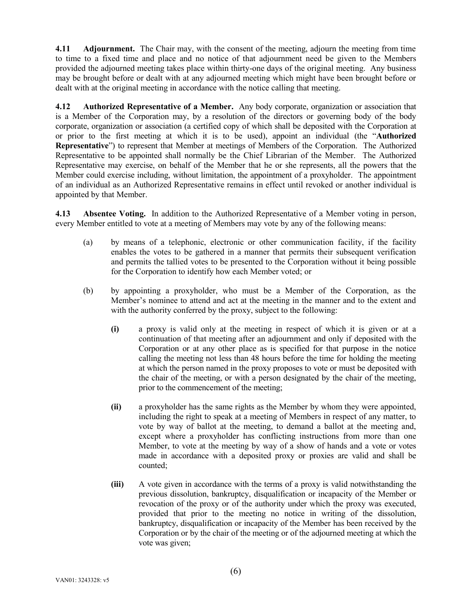<span id="page-9-0"></span>**4.11 Adjournment.** The Chair may, with the consent of the meeting, adjourn the meeting from time to time to a fixed time and place and no notice of that adjournment need be given to the Members provided the adjourned meeting takes place within thirty-one days of the original meeting. Any business may be brought before or dealt with at any adjourned meeting which might have been brought before or dealt with at the original meeting in accordance with the notice calling that meeting.

<span id="page-9-1"></span>**4.12 Authorized Representative of a Member.** Any body corporate, organization or association that is a Member of the Corporation may, by a resolution of the directors or governing body of the body corporate, organization or association (a certified copy of which shall be deposited with the Corporation at or prior to the first meeting at which it is to be used), appoint an individual (the "**Authorized Representative**") to represent that Member at meetings of Members of the Corporation. The Authorized Representative to be appointed shall normally be the Chief Librarian of the Member. The Authorized Representative may exercise, on behalf of the Member that he or she represents, all the powers that the Member could exercise including, without limitation, the appointment of a proxyholder. The appointment of an individual as an Authorized Representative remains in effect until revoked or another individual is appointed by that Member.

<span id="page-9-2"></span>**4.13 Absentee Voting.** In addition to the Authorized Representative of a Member voting in person, every Member entitled to vote at a meeting of Members may vote by any of the following means:

- (a) by means of a telephonic, electronic or other communication facility, if the facility enables the votes to be gathered in a manner that permits their subsequent verification and permits the tallied votes to be presented to the Corporation without it being possible for the Corporation to identify how each Member voted; or
- (b) by appointing a proxyholder, who must be a Member of the Corporation, as the Member's nominee to attend and act at the meeting in the manner and to the extent and with the authority conferred by the proxy, subject to the following:
	- **(i)** a proxy is valid only at the meeting in respect of which it is given or at a continuation of that meeting after an adjournment and only if deposited with the Corporation or at any other place as is specified for that purpose in the notice calling the meeting not less than 48 hours before the time for holding the meeting at which the person named in the proxy proposes to vote or must be deposited with the chair of the meeting, or with a person designated by the chair of the meeting, prior to the commencement of the meeting;
	- **(ii)** a proxyholder has the same rights as the Member by whom they were appointed, including the right to speak at a meeting of Members in respect of any matter, to vote by way of ballot at the meeting, to demand a ballot at the meeting and, except where a proxyholder has conflicting instructions from more than one Member, to vote at the meeting by way of a show of hands and a vote or votes made in accordance with a deposited proxy or proxies are valid and shall be counted;
	- **(iii)** A vote given in accordance with the terms of a proxy is valid notwithstanding the previous dissolution, bankruptcy, disqualification or incapacity of the Member or revocation of the proxy or of the authority under which the proxy was executed, provided that prior to the meeting no notice in writing of the dissolution, bankruptcy, disqualification or incapacity of the Member has been received by the Corporation or by the chair of the meeting or of the adjourned meeting at which the vote was given;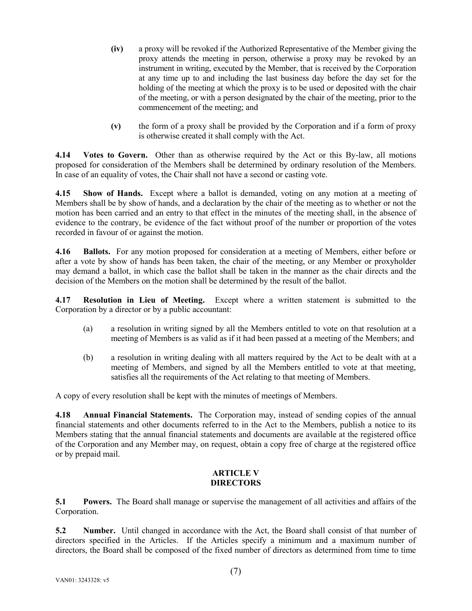- **(iv)** a proxy will be revoked if the Authorized Representative of the Member giving the proxy attends the meeting in person, otherwise a proxy may be revoked by an instrument in writing, executed by the Member, that is received by the Corporation at any time up to and including the last business day before the day set for the holding of the meeting at which the proxy is to be used or deposited with the chair of the meeting, or with a person designated by the chair of the meeting, prior to the commencement of the meeting; and
- **(v)** the form of a proxy shall be provided by the Corporation and if a form of proxy is otherwise created it shall comply with the Act.

<span id="page-10-0"></span>**4.14 Votes to Govern.** Other than as otherwise required by the Act or this By-law, all motions proposed for consideration of the Members shall be determined by ordinary resolution of the Members. In case of an equality of votes, the Chair shall not have a second or casting vote.

<span id="page-10-1"></span>**4.15 Show of Hands.** Except where a ballot is demanded, voting on any motion at a meeting of Members shall be by show of hands, and a declaration by the chair of the meeting as to whether or not the motion has been carried and an entry to that effect in the minutes of the meeting shall, in the absence of evidence to the contrary, be evidence of the fact without proof of the number or proportion of the votes recorded in favour of or against the motion.

<span id="page-10-2"></span>**4.16 Ballots.** For any motion proposed for consideration at a meeting of Members, either before or after a vote by show of hands has been taken, the chair of the meeting, or any Member or proxyholder may demand a ballot, in which case the ballot shall be taken in the manner as the chair directs and the decision of the Members on the motion shall be determined by the result of the ballot.

<span id="page-10-3"></span>**4.17 Resolution in Lieu of Meeting.** Except where a written statement is submitted to the Corporation by a director or by a public accountant:

- (a) a resolution in writing signed by all the Members entitled to vote on that resolution at a meeting of Members is as valid as if it had been passed at a meeting of the Members; and
- (b) a resolution in writing dealing with all matters required by the Act to be dealt with at a meeting of Members, and signed by all the Members entitled to vote at that meeting, satisfies all the requirements of the Act relating to that meeting of Members.

A copy of every resolution shall be kept with the minutes of meetings of Members.

<span id="page-10-4"></span>**4.18 Annual Financial Statements.** The Corporation may, instead of sending copies of the annual financial statements and other documents referred to in the Act to the Members, publish a notice to its Members stating that the annual financial statements and documents are available at the registered office of the Corporation and any Member may, on request, obtain a copy free of charge at the registered office or by prepaid mail.

#### **ARTICLE V DIRECTORS**

<span id="page-10-6"></span><span id="page-10-5"></span>**5.1 Powers.** The Board shall manage or supervise the management of all activities and affairs of the Corporation.

<span id="page-10-7"></span>**5.2 Number.** Until changed in accordance with the Act, the Board shall consist of that number of directors specified in the Articles. If the Articles specify a minimum and a maximum number of directors, the Board shall be composed of the fixed number of directors as determined from time to time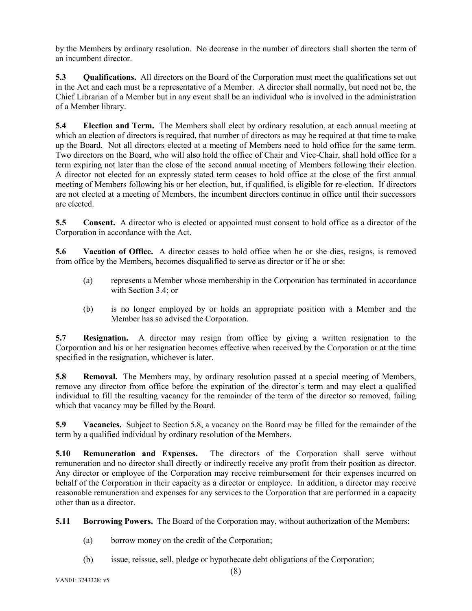by the Members by ordinary resolution. No decrease in the number of directors shall shorten the term of an incumbent director.

<span id="page-11-0"></span>**5.3 Qualifications.** All directors on the Board of the Corporation must meet the qualifications set out in the Act and each must be a representative of a Member. A director shall normally, but need not be, the Chief Librarian of a Member but in any event shall be an individual who is involved in the administration of a Member library.

<span id="page-11-1"></span>**5.4 Election and Term.** The Members shall elect by ordinary resolution, at each annual meeting at which an election of directors is required, that number of directors as may be required at that time to make up the Board. Not all directors elected at a meeting of Members need to hold office for the same term. Two directors on the Board, who will also hold the office of Chair and Vice-Chair, shall hold office for a term expiring not later than the close of the second annual meeting of Members following their election. A director not elected for an expressly stated term ceases to hold office at the close of the first annual meeting of Members following his or her election, but, if qualified, is eligible for re-election. If directors are not elected at a meeting of Members, the incumbent directors continue in office until their successors are elected.

<span id="page-11-2"></span>**5.5 Consent.** A director who is elected or appointed must consent to hold office as a director of the Corporation in accordance with the Act.

<span id="page-11-3"></span>**5.6 Vacation of Office.** A director ceases to hold office when he or she dies, resigns, is removed from office by the Members, becomes disqualified to serve as director or if he or she:

- (a) represents a Member whose membership in the Corporation has terminated in accordance with Section 3.4; or
- (b) is no longer employed by or holds an appropriate position with a Member and the Member has so advised the Corporation.

<span id="page-11-4"></span>**5.7 Resignation.** A director may resign from office by giving a written resignation to the Corporation and his or her resignation becomes effective when received by the Corporation or at the time specified in the resignation, whichever is later.

<span id="page-11-5"></span>**5.8 Removal.** The Members may, by ordinary resolution passed at a special meeting of Members, remove any director from office before the expiration of the director's term and may elect a qualified individual to fill the resulting vacancy for the remainder of the term of the director so removed, failing which that vacancy may be filled by the Board.

<span id="page-11-6"></span>**5.9 Vacancies.** Subject to Section [5.8,](#page-11-5) a vacancy on the Board may be filled for the remainder of the term by a qualified individual by ordinary resolution of the Members.

<span id="page-11-7"></span>**5.10 Remuneration and Expenses.** The directors of the Corporation shall serve without remuneration and no director shall directly or indirectly receive any profit from their position as director. Any director or employee of the Corporation may receive reimbursement for their expenses incurred on behalf of the Corporation in their capacity as a director or employee. In addition, a director may receive reasonable remuneration and expenses for any services to the Corporation that are performed in a capacity other than as a director.

<span id="page-11-8"></span>**5.11 Borrowing Powers.** The Board of the Corporation may, without authorization of the Members:

- (a) borrow money on the credit of the Corporation;
- (b) issue, reissue, sell, pledge or hypothecate debt obligations of the Corporation;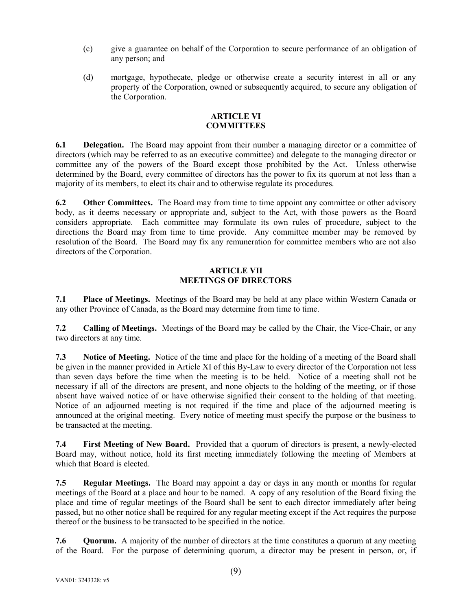- (c) give a guarantee on behalf of the Corporation to secure performance of an obligation of any person; and
- (d) mortgage, hypothecate, pledge or otherwise create a security interest in all or any property of the Corporation, owned or subsequently acquired, to secure any obligation of the Corporation.

#### **ARTICLE VI COMMITTEES**

<span id="page-12-1"></span><span id="page-12-0"></span>**6.1 Delegation.** The Board may appoint from their number a managing director or a committee of directors (which may be referred to as an executive committee) and delegate to the managing director or committee any of the powers of the Board except those prohibited by the Act. Unless otherwise determined by the Board, every committee of directors has the power to fix its quorum at not less than a majority of its members, to elect its chair and to otherwise regulate its procedures.

<span id="page-12-2"></span>**6.2 Other Committees.** The Board may from time to time appoint any committee or other advisory body, as it deems necessary or appropriate and, subject to the Act, with those powers as the Board considers appropriate. Each committee may formulate its own rules of procedure, subject to the directions the Board may from time to time provide. Any committee member may be removed by resolution of the Board. The Board may fix any remuneration for committee members who are not also directors of the Corporation.

#### **ARTICLE VII MEETINGS OF DIRECTORS**

<span id="page-12-4"></span><span id="page-12-3"></span>**7.1 Place of Meetings.** Meetings of the Board may be held at any place within Western Canada or any other Province of Canada, as the Board may determine from time to time.

<span id="page-12-5"></span>**7.2 Calling of Meetings.** Meetings of the Board may be called by the Chair, the Vice-Chair, or any two directors at any time.

<span id="page-12-6"></span>**7.3 Notice of Meeting.** Notice of the time and place for the holding of a meeting of the Board shall be given in the manner provided in [Article XI](#page-16-2) of this By-Law to every director of the Corporation not less than seven days before the time when the meeting is to be held. Notice of a meeting shall not be necessary if all of the directors are present, and none objects to the holding of the meeting, or if those absent have waived notice of or have otherwise signified their consent to the holding of that meeting. Notice of an adjourned meeting is not required if the time and place of the adjourned meeting is announced at the original meeting. Every notice of meeting must specify the purpose or the business to be transacted at the meeting.

<span id="page-12-7"></span>**7.4 First Meeting of New Board.** Provided that a quorum of directors is present, a newly-elected Board may, without notice, hold its first meeting immediately following the meeting of Members at which that Board is elected.

<span id="page-12-8"></span>**7.5 Regular Meetings.** The Board may appoint a day or days in any month or months for regular meetings of the Board at a place and hour to be named. A copy of any resolution of the Board fixing the place and time of regular meetings of the Board shall be sent to each director immediately after being passed, but no other notice shall be required for any regular meeting except if the Act requires the purpose thereof or the business to be transacted to be specified in the notice.

<span id="page-12-9"></span>**7.6 Quorum.** A majority of the number of directors at the time constitutes a quorum at any meeting of the Board. For the purpose of determining quorum, a director may be present in person, or, if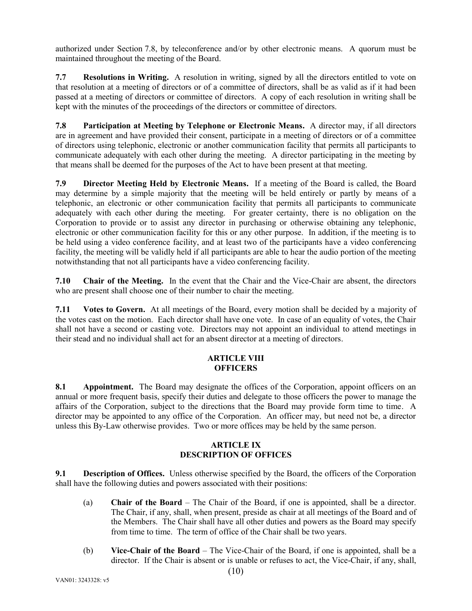authorized under Section [7.8,](#page-13-1) by teleconference and/or by other electronic means. A quorum must be maintained throughout the meeting of the Board.

<span id="page-13-0"></span>**7.7 Resolutions in Writing.** A resolution in writing, signed by all the directors entitled to vote on that resolution at a meeting of directors or of a committee of directors, shall be as valid as if it had been passed at a meeting of directors or committee of directors. A copy of each resolution in writing shall be kept with the minutes of the proceedings of the directors or committee of directors.

<span id="page-13-1"></span>**7.8 Participation at Meeting by Telephone or Electronic Means.** A director may, if all directors are in agreement and have provided their consent, participate in a meeting of directors or of a committee of directors using telephonic, electronic or another communication facility that permits all participants to communicate adequately with each other during the meeting. A director participating in the meeting by that means shall be deemed for the purposes of the Act to have been present at that meeting.

<span id="page-13-2"></span>**7.9 Director Meeting Held by Electronic Means.** If a meeting of the Board is called, the Board may determine by a simple majority that the meeting will be held entirely or partly by means of a telephonic, an electronic or other communication facility that permits all participants to communicate adequately with each other during the meeting. For greater certainty, there is no obligation on the Corporation to provide or to assist any director in purchasing or otherwise obtaining any telephonic, electronic or other communication facility for this or any other purpose. In addition, if the meeting is to be held using a video conference facility, and at least two of the participants have a video conferencing facility, the meeting will be validly held if all participants are able to hear the audio portion of the meeting notwithstanding that not all participants have a video conferencing facility.

<span id="page-13-3"></span>**7.10 Chair of the Meeting.** In the event that the Chair and the Vice-Chair are absent, the directors who are present shall choose one of their number to chair the meeting.

<span id="page-13-4"></span>**7.11 Votes to Govern.** At all meetings of the Board, every motion shall be decided by a majority of the votes cast on the motion. Each director shall have one vote. In case of an equality of votes, the Chair shall not have a second or casting vote. Directors may not appoint an individual to attend meetings in their stead and no individual shall act for an absent director at a meeting of directors.

## **ARTICLE VIII OFFICERS**

<span id="page-13-6"></span><span id="page-13-5"></span>**8.1 Appointment.** The Board may designate the offices of the Corporation, appoint officers on an annual or more frequent basis, specify their duties and delegate to those officers the power to manage the affairs of the Corporation, subject to the directions that the Board may provide form time to time. A director may be appointed to any office of the Corporation. An officer may, but need not be, a director unless this By-Law otherwise provides. Two or more offices may be held by the same person.

## **ARTICLE IX DESCRIPTION OF OFFICES**

<span id="page-13-8"></span><span id="page-13-7"></span>**9.1 Description of Offices.** Unless otherwise specified by the Board, the officers of the Corporation shall have the following duties and powers associated with their positions:

- (a) **Chair of the Board** The Chair of the Board, if one is appointed, shall be a director. The Chair, if any, shall, when present, preside as chair at all meetings of the Board and of the Members. The Chair shall have all other duties and powers as the Board may specify from time to time. The term of office of the Chair shall be two years.
- (b) **Vice-Chair of the Board** The Vice-Chair of the Board, if one is appointed, shall be a director. If the Chair is absent or is unable or refuses to act, the Vice-Chair, if any, shall,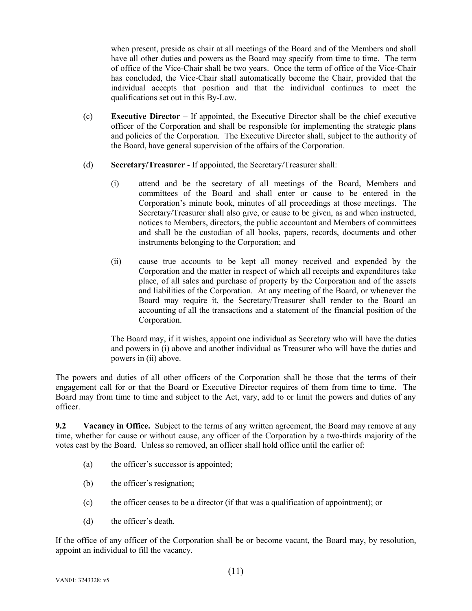when present, preside as chair at all meetings of the Board and of the Members and shall have all other duties and powers as the Board may specify from time to time. The term of office of the Vice-Chair shall be two years. Once the term of office of the Vice-Chair has concluded, the Vice-Chair shall automatically become the Chair, provided that the individual accepts that position and that the individual continues to meet the qualifications set out in this By-Law.

- (c) **Executive Director** If appointed, the Executive Director shall be the chief executive officer of the Corporation and shall be responsible for implementing the strategic plans and policies of the Corporation. The Executive Director shall, subject to the authority of the Board, have general supervision of the affairs of the Corporation.
- (d) **Secretary/Treasurer** If appointed, the Secretary/Treasurer shall:
	- (i) attend and be the secretary of all meetings of the Board, Members and committees of the Board and shall enter or cause to be entered in the Corporation's minute book, minutes of all proceedings at those meetings. The Secretary/Treasurer shall also give, or cause to be given, as and when instructed, notices to Members, directors, the public accountant and Members of committees and shall be the custodian of all books, papers, records, documents and other instruments belonging to the Corporation; and
	- (ii) cause true accounts to be kept all money received and expended by the Corporation and the matter in respect of which all receipts and expenditures take place, of all sales and purchase of property by the Corporation and of the assets and liabilities of the Corporation. At any meeting of the Board, or whenever the Board may require it, the Secretary/Treasurer shall render to the Board an accounting of all the transactions and a statement of the financial position of the Corporation.

The Board may, if it wishes, appoint one individual as Secretary who will have the duties and powers in (i) above and another individual as Treasurer who will have the duties and powers in (ii) above.

The powers and duties of all other officers of the Corporation shall be those that the terms of their engagement call for or that the Board or Executive Director requires of them from time to time. The Board may from time to time and subject to the Act, vary, add to or limit the powers and duties of any officer.

<span id="page-14-0"></span>**9.2 Vacancy in Office.** Subject to the terms of any written agreement, the Board may remove at any time, whether for cause or without cause, any officer of the Corporation by a two-thirds majority of the votes cast by the Board. Unless so removed, an officer shall hold office until the earlier of:

- (a) the officer's successor is appointed;
- (b) the officer's resignation;
- (c) the officer ceases to be a director (if that was a qualification of appointment); or
- (d) the officer's death.

If the office of any officer of the Corporation shall be or become vacant, the Board may, by resolution, appoint an individual to fill the vacancy.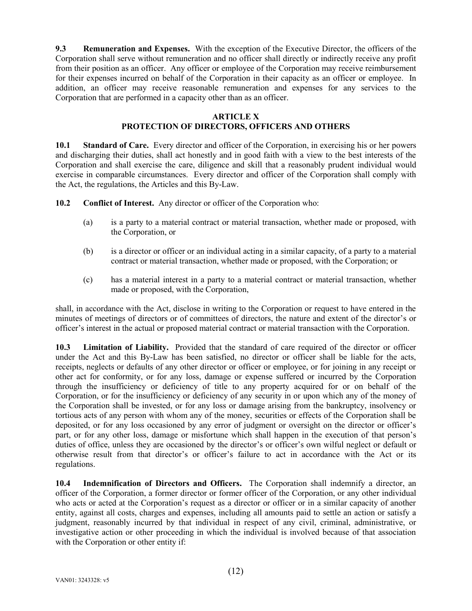<span id="page-15-0"></span>**9.3 Remuneration and Expenses.** With the exception of the Executive Director, the officers of the Corporation shall serve without remuneration and no officer shall directly or indirectly receive any profit from their position as an officer. Any officer or employee of the Corporation may receive reimbursement for their expenses incurred on behalf of the Corporation in their capacity as an officer or employee. In addition, an officer may receive reasonable remuneration and expenses for any services to the Corporation that are performed in a capacity other than as an officer.

#### **ARTICLE X**

#### **PROTECTION OF DIRECTORS, OFFICERS AND OTHERS**

<span id="page-15-2"></span><span id="page-15-1"></span>10.1 **Standard of Care.** Every director and officer of the Corporation, in exercising his or her powers and discharging their duties, shall act honestly and in good faith with a view to the best interests of the Corporation and shall exercise the care, diligence and skill that a reasonably prudent individual would exercise in comparable circumstances. Every director and officer of the Corporation shall comply with the Act, the regulations, the Articles and this By-Law.

<span id="page-15-3"></span>**10.2 Conflict of Interest.** Any director or officer of the Corporation who:

- (a) is a party to a material contract or material transaction, whether made or proposed, with the Corporation, or
- (b) is a director or officer or an individual acting in a similar capacity, of a party to a material contract or material transaction, whether made or proposed, with the Corporation; or
- (c) has a material interest in a party to a material contract or material transaction, whether made or proposed, with the Corporation,

shall, in accordance with the Act, disclose in writing to the Corporation or request to have entered in the minutes of meetings of directors or of committees of directors, the nature and extent of the director's or officer's interest in the actual or proposed material contract or material transaction with the Corporation.

<span id="page-15-4"></span>**10.3 Limitation of Liability.** Provided that the standard of care required of the director or officer under the Act and this By-Law has been satisfied, no director or officer shall be liable for the acts, receipts, neglects or defaults of any other director or officer or employee, or for joining in any receipt or other act for conformity, or for any loss, damage or expense suffered or incurred by the Corporation through the insufficiency or deficiency of title to any property acquired for or on behalf of the Corporation, or for the insufficiency or deficiency of any security in or upon which any of the money of the Corporation shall be invested, or for any loss or damage arising from the bankruptcy, insolvency or tortious acts of any person with whom any of the money, securities or effects of the Corporation shall be deposited, or for any loss occasioned by any error of judgment or oversight on the director or officer's part, or for any other loss, damage or misfortune which shall happen in the execution of that person's duties of office, unless they are occasioned by the director's or officer's own wilful neglect or default or otherwise result from that director's or officer's failure to act in accordance with the Act or its regulations.

<span id="page-15-5"></span>**10.4 Indemnification of Directors and Officers.** The Corporation shall indemnify a director, an officer of the Corporation, a former director or former officer of the Corporation, or any other individual who acts or acted at the Corporation's request as a director or officer or in a similar capacity of another entity, against all costs, charges and expenses, including all amounts paid to settle an action or satisfy a judgment, reasonably incurred by that individual in respect of any civil, criminal, administrative, or investigative action or other proceeding in which the individual is involved because of that association with the Corporation or other entity if: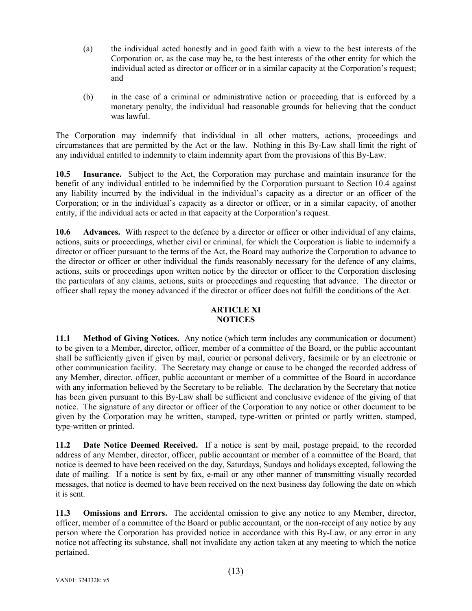- (a) the individual acted honestly and in good faith with a view to the best interests of the Corporation or, as the case may be, to the best interests of the other entity for which the individual acted as director or officer or in a similar capacity at the Corporation's request; and
- (b) in the case of a criminal or administrative action or proceeding that is enforced by a monetary penalty, the individual had reasonable grounds for believing that the conduct was lawful.

The Corporation may indemnify that individual in all other matters, actions, proceedings and circumstances that are permitted by the Act or the law. Nothing in this By-Law shall limit the right of any individual entitled to indemnity to claim indemnity apart from the provisions of this By-Law.

<span id="page-16-0"></span>**10.5 Insurance.** Subject to the Act, the Corporation may purchase and maintain insurance for the benefit of any individual entitled to be indemnified by the Corporation pursuant to Section [10.4](#page-15-5) against any liability incurred by the individual in the individual's capacity as a director or an officer of the Corporation; or in the individual's capacity as a director or officer, or in a similar capacity, of another entity, if the individual acts or acted in that capacity at the Corporation's request.

<span id="page-16-1"></span>**10.6 Advances.** With respect to the defence by a director or officer or other individual of any claims, actions, suits or proceedings, whether civil or criminal, for which the Corporation is liable to indemnify a director or officer pursuant to the terms of the Act, the Board may authorize the Corporation to advance to the director or officer or other individual the funds reasonably necessary for the defence of any claims, actions, suits or proceedings upon written notice by the director or officer to the Corporation disclosing the particulars of any claims, actions, suits or proceedings and requesting that advance. The director or officer shall repay the money advanced if the director or officer does not fulfill the conditions of the Act.

## **ARTICLE XI NOTICES**

<span id="page-16-3"></span><span id="page-16-2"></span>**11.1 Method of Giving Notices.** Any notice (which term includes any communication or document) to be given to a Member, director, officer, member of a committee of the Board, or the public accountant shall be sufficiently given if given by mail, courier or personal delivery, facsimile or by an electronic or other communication facility. The Secretary may change or cause to be changed the recorded address of any Member, director, officer, public accountant or member of a committee of the Board in accordance with any information believed by the Secretary to be reliable. The declaration by the Secretary that notice has been given pursuant to this By-Law shall be sufficient and conclusive evidence of the giving of that notice. The signature of any director or officer of the Corporation to any notice or other document to be given by the Corporation may be written, stamped, type-written or printed or partly written, stamped, type-written or printed.

<span id="page-16-4"></span>**11.2 Date Notice Deemed Received.** If a notice is sent by mail, postage prepaid, to the recorded address of any Member, director, officer, public accountant or member of a committee of the Board, that notice is deemed to have been received on the day, Saturdays, Sundays and holidays excepted, following the date of mailing. If a notice is sent by fax, e-mail or any other manner of transmitting visually recorded messages, that notice is deemed to have been received on the next business day following the date on which it is sent.

<span id="page-16-5"></span>**11.3 Omissions and Errors.** The accidental omission to give any notice to any Member, director, officer, member of a committee of the Board or public accountant, or the non-receipt of any notice by any person where the Corporation has provided notice in accordance with this By-Law, or any error in any notice not affecting its substance, shall not invalidate any action taken at any meeting to which the notice pertained.